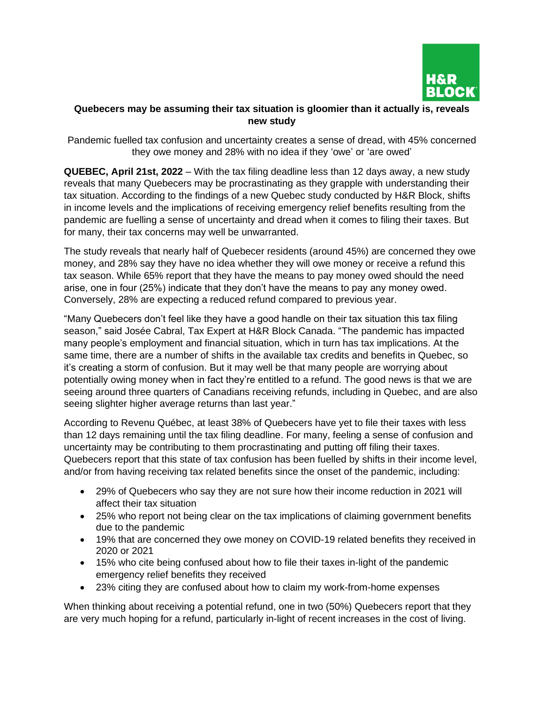

## **Quebecers may be assuming their tax situation is gloomier than it actually is, reveals new study**

Pandemic fuelled tax confusion and uncertainty creates a sense of dread, with 45% concerned they owe money and 28% with no idea if they 'owe' or 'are owed'

**QUEBEC, April 21st, 2022** – With the tax filing deadline less than 12 days away, a new study reveals that many Quebecers may be procrastinating as they grapple with understanding their tax situation. According to the findings of a new Quebec study conducted by H&R Block, shifts in income levels and the implications of receiving emergency relief benefits resulting from the pandemic are fuelling a sense of uncertainty and dread when it comes to filing their taxes. But for many, their tax concerns may well be unwarranted.

The study reveals that nearly half of Quebecer residents (around 45%) are concerned they owe money, and 28% say they have no idea whether they will owe money or receive a refund this tax season. While 65% report that they have the means to pay money owed should the need arise, one in four (25%) indicate that they don't have the means to pay any money owed. Conversely, 28% are expecting a reduced refund compared to previous year.

"Many Quebecers don't feel like they have a good handle on their tax situation this tax filing season," said Josée Cabral, Tax Expert at H&R Block Canada. "The pandemic has impacted many people's employment and financial situation, which in turn has tax implications. At the same time, there are a number of shifts in the available tax credits and benefits in Quebec, so it's creating a storm of confusion. But it may well be that many people are worrying about potentially owing money when in fact they're entitled to a refund. The good news is that we are seeing around three quarters of Canadians receiving refunds, including in Quebec, and are also seeing slighter higher average returns than last year."

According to Revenu Québec, at least 38% of Quebecers have yet to file their taxes with less than 12 days remaining until the tax filing deadline. For many, feeling a sense of confusion and uncertainty may be contributing to them procrastinating and putting off filing their taxes. Quebecers report that this state of tax confusion has been fuelled by shifts in their income level, and/or from having receiving tax related benefits since the onset of the pandemic, including:

- 29% of Quebecers who say they are not sure how their income reduction in 2021 will affect their tax situation
- 25% who report not being clear on the tax implications of claiming government benefits due to the pandemic
- 19% that are concerned they owe money on COVID-19 related benefits they received in 2020 or 2021
- 15% who cite being confused about how to file their taxes in-light of the pandemic emergency relief benefits they received
- 23% citing they are confused about how to claim my work-from-home expenses

When thinking about receiving a potential refund, one in two (50%) Quebecers report that they are very much hoping for a refund, particularly in-light of recent increases in the cost of living.